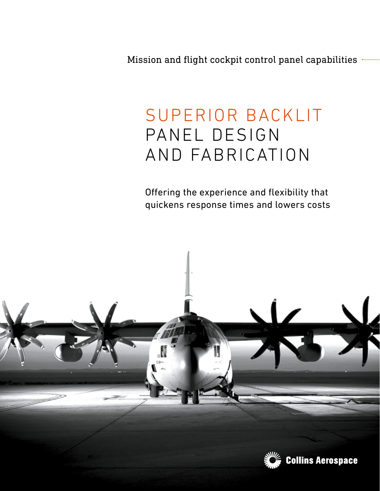Mission and flight cockpit control panel capabilities

## SUPERIOR BACKLIT PANEL DESIGN AND FABRICATION

Offering the experience and flexibility that quickens response times and lowers costs

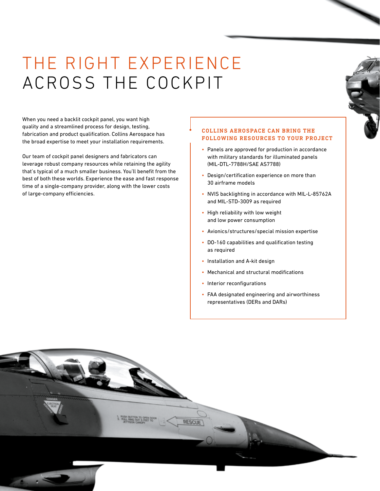# THE RIGHT EXPERIENCE ACROSS THE COCKPIT

When you need a backlit cockpit panel, you want high quality and a streamlined process for design, testing, fabrication and product qualification. Collins Aerospace has the broad expertise to meet your installation requirements.

Our team of cockpit panel designers and fabricators can leverage robust company resources while retaining the agility that's typical of a much smaller business. You'll benefit from the best of both these worlds. Experience the ease and fast response time of a single-company provider, along with the lower costs of large-company efficiencies.

## COLLINS AEROSPACE CAN BRING THE FOLLOWING RESOURCES TO YOUR PROJECT

- Panels are approved for production in accordance with military standards for illuminated panels (MIL-DTL-7788H/SAE AS7788)
- Design/certification experience on more than 30 airframe models
- NVIS backlighting in accordance with MIL-L-85762A and MIL-STD-3009 as required
- High reliability with low weight and low power consumption
- Avionics/structures/special mission expertise
- DO-160 capabilities and qualification testing as required
- Installation and A-kit design
- Mechanical and structural modifications
- Interior reconfigurations
- FAA designated engineering and airworthiness representatives (DERs and DARs)

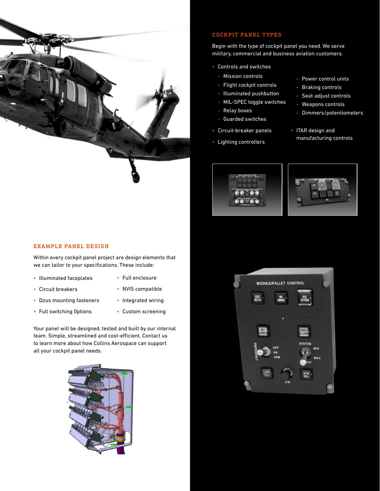

## COCKPIT PANEL TYPES

Begin with the type of cockpit panel you need. We serve military, commercial and business aviation customers.

- Controls and switches
	- Mission controls
- Flight cockpit controls
- Illuminated pushbutton
- MIL-SPEC toggle switches
- Relay boxes
- Guarded switches
- Circuit-breaker panels
- Lighting controllers
- Power control units
- Braking controls
- Seat-adjust controls
- Weapons controls
- Dimmers/potentiometers
- ITAR design and manufacturing controls





### EXAMPLE PANEL DESIGN

Within every cockpit panel project are design elements that we can tailor to your specifications. These include:

- Illuminated faceplates
- Full enclosure
- Circuit breakers
- NVIS compatible
- Dzus mounting fasteners
- Full switching 0ptions
- Integrated wiring
- Custom screening

Your panel will be designed, tested and built by our internal team. Simple, streamlined and cost-efficient. Contact us to learn more about how Collins Aerospace can support all your cockpit panel needs.